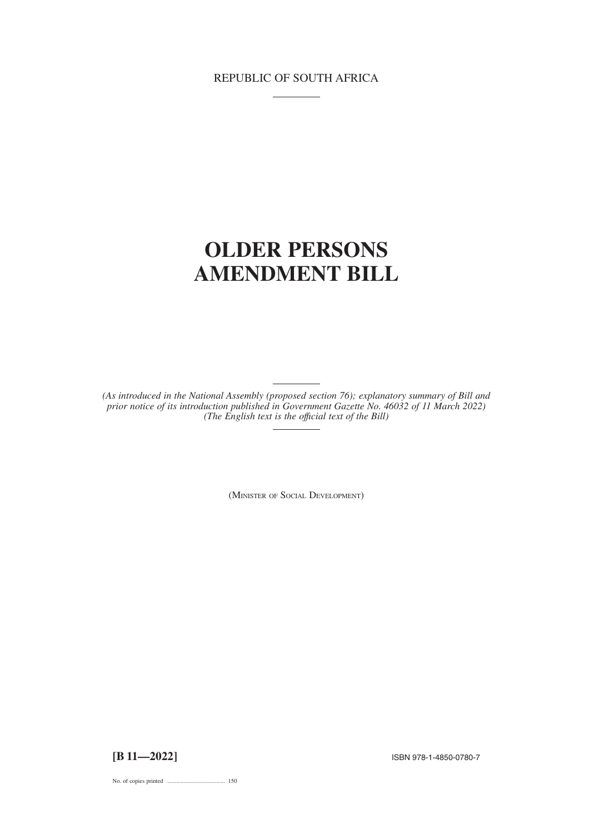# REPUBLIC OF SOUTH AFRICA

# **OLDER PERSONS AMENDMENT BILL**

*(As introduced in the National Assembly (proposed section 76); explanatory summary of Bill and prior notice of its introduction published in Government Gazette No. 46032 of 11 March 2022) (The English text is the offıcial text of the Bill)*

(MINISTER OF SOCIAL DEVELOPMENT)

**[B 11—2022]** ISBN 978-1-4850-0780-7

No. of copies printed ....................................... 150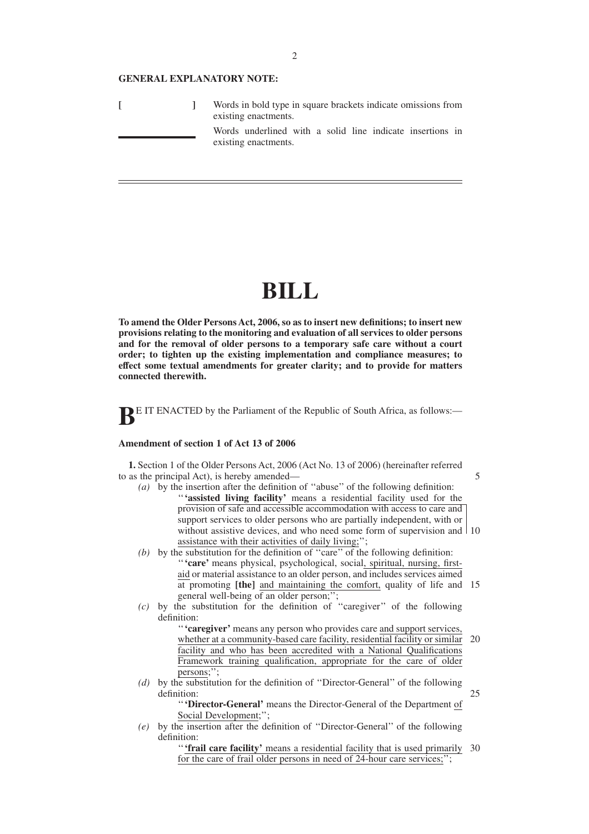#### **GENERAL EXPLANATORY NOTE:**

|  | Words in bold type in square brackets indicate omissions from<br>existing enactments. |
|--|---------------------------------------------------------------------------------------|
|  | Words underlined with a solid line indicate insertions in<br>existing enactments.     |

# **BILL**

**To amend the Older Persons Act, 2006, so as to insert new definitions; to insert new provisions relating to the monitoring and evaluation of all services to older persons and for the removal of older persons to a temporary safe care without a court order; to tighten up the existing implementation and compliance measures; to effect some textual amendments for greater clarity; and to provide for matters connected therewith.**

**BE IT ENACTED** by the Parliament of the Republic of South Africa, as follows:-

## **Amendment of section 1 of Act 13 of 2006**

**1.** Section 1 of the Older Persons Act, 2006 (Act No. 13 of 2006) (hereinafter referred to as the principal Act), is hereby amended—

*(a)* by the insertion after the definition of ''abuse'' of the following definition: ''**'assisted living facility'** means a residential facility used for the provision of safe and accessible accommodation with access to care and support services to older persons who are partially independent, with or without assistive devices, and who need some form of supervision and 10 assistance with their activities of daily living;'';

5

- *(b)* by the substitution for the definition of ''care'' of the following definition: ''**'care'** means physical, psychological, social, spiritual, nursing, firstaid or material assistance to an older person, and includes services aimed at promoting **[the]** and maintaining the comfort, quality of life and 15 general well-being of an older person;'';
- *(c)* by the substitution for the definition of ''caregiver'' of the following definition:

''**'caregiver'** means any person who provides care and support services, whether at a community-based care facility, residential facility or similar facility and who has been accredited with a National Qualifications Framework training qualification, appropriate for the care of older persons;''; 20

*(d)* by the substitution for the definition of ''Director-General'' of the following definition: 25

''**'Director-General'** means the Director-General of the Department of Social Development;'';

*(e)* by the insertion after the definition of ''Director-General'' of the following definition:

> "**'frail care facility'** means a residential facility that is used primarily 30 for the care of frail older persons in need of 24-hour care services;'';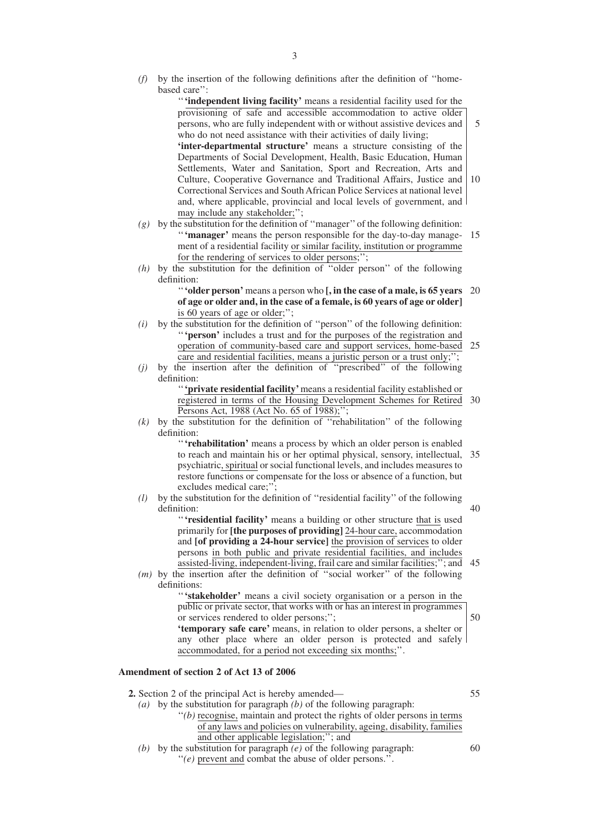*(f)* by the insertion of the following definitions after the definition of ''homebased care'':

> ''**'independent living facility'** means a residential facility used for the provisioning of safe and accessible accommodation to active older persons, who are fully independent with or without assistive devices and who do not need assistance with their activities of daily living; **'inter-departmental structure'** means a structure consisting of the Departments of Social Development, Health, Basic Education, Human Settlements, Water and Sanitation, Sport and Recreation, Arts and Culture, Cooperative Governance and Traditional Affairs, Justice and Correctional Services and South African Police Services at national level and, where applicable, provincial and local levels of government, and may include any stakeholder;''; 5 10

- *(g)* by the substitution for the definition of ''manager'' of the following definition: "**'manager'** means the person responsible for the day-to-day manage- 15 ment of a residential facility or similar facility, institution or programme for the rendering of services to older persons;'';
- *(h)* by the substitution for the definition of ''older person'' of the following definition:

''**'older person'** means a person who **[, in the case of a male, is 65 years** 20 **of age or older and, in the case of a female, is 60 years of age or older]** is 60 years of age or older;'';

- *(i)* by the substitution for the definition of ''person'' of the following definition: ''**'person'** includes a trust and for the purposes of the registration and operation of community-based care and support services, home-based 25 care and residential facilities, means a juristic person or a trust only;'';
- *(j)* by the insertion after the definition of ''prescribed'' of the following definition:

''**'private residential facility'**means a residential facility established or registered in terms of the Housing Development Schemes for Retired 30 Persons Act, 1988 (Act No. 65 of 1988);";

*(k)* by the substitution for the definition of ''rehabilitation'' of the following definition:

> ''**'rehabilitation'** means a process by which an older person is enabled to reach and maintain his or her optimal physical, sensory, intellectual, psychiatric, spiritual or social functional levels, and includes measures to restore functions or compensate for the loss or absence of a function, but excludes medical care;''; 35

*(l)* by the substitution for the definition of ''residential facility'' of the following definition:

''**'residential facility'** means a building or other structure that is used primarily for **[the purposes of providing]** 24-hour care, accommodation and **[of providing a 24-hour service]** the provision of services to older persons in both public and private residential facilities, and includes assisted-living, independent-living, frail care and similar facilities;''; and

*(m)* by the insertion after the definition of ''social worker'' of the following definitions: 45

> ''**'stakeholder'** means a civil society organisation or a person in the public or private sector, that works with or has an interest in programmes or services rendered to older persons;''; **'temporary safe care'** means, in relation to older persons, a shelter or any other place where an older person is protected and safely accommodated, for a period not exceeding six months;''.

## **Amendment of section 2 of Act 13 of 2006**

**2.** Section 2 of the principal Act is hereby amended—

55

50

40

- *(a)* by the substitution for paragraph *(b)* of the following paragraph:
	- ''*(b)* recognise, maintain and protect the rights of older persons in terms of any laws and policies on vulnerability, ageing, disability, families and other applicable legislation;''; and
- *(b)* by the substitution for paragraph *(e)* of the following paragraph: ''*(e)* prevent and combat the abuse of older persons.''.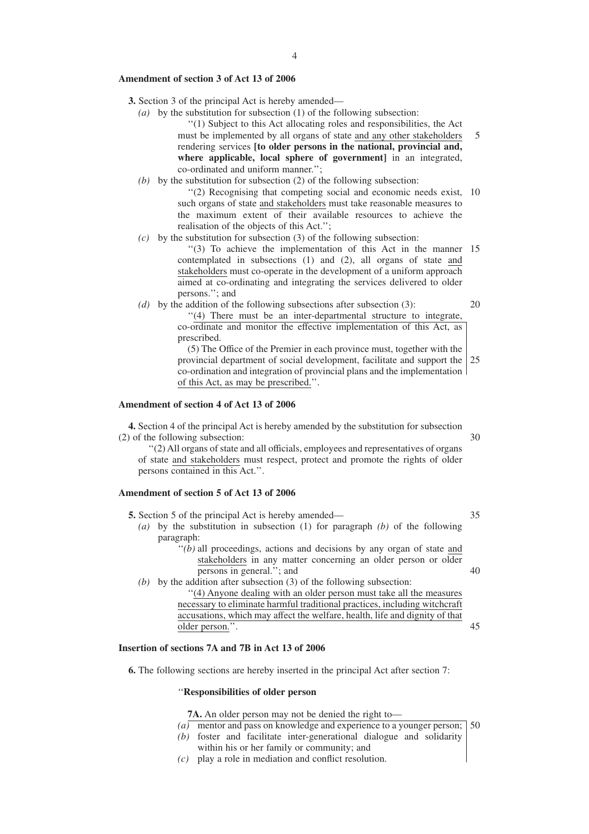#### **Amendment of section 3 of Act 13 of 2006**

- **3.** Section 3 of the principal Act is hereby amended—
	- *(a)* by the substitution for subsection (1) of the following subsection:

''(1) Subject to this Act allocating roles and responsibilities, the Act must be implemented by all organs of state and any other stakeholders rendering services **[to older persons in the national, provincial and, where applicable, local sphere of government]** in an integrated, co-ordinated and uniform manner.'';

*(b)* by the substitution for subsection (2) of the following subsection:

"(2) Recognising that competing social and economic needs exist, 10 such organs of state and stakeholders must take reasonable measures to the maximum extent of their available resources to achieve the realisation of the objects of this Act.'';

*(c)* by the substitution for subsection (3) of the following subsection:

"(3) To achieve the implementation of this Act in the manner 15 contemplated in subsections (1) and (2), all organs of state and stakeholders must co-operate in the development of a uniform approach aimed at co-ordinating and integrating the services delivered to older persons.''; and

 $(d)$  by the addition of the following subsections after subsection (3):

20

5

''(4) There must be an inter-departmental structure to integrate, co-ordinate and monitor the effective implementation of this Act, as prescribed.

(5) The Office of the Premier in each province must, together with the provincial department of social development, facilitate and support the co-ordination and integration of provincial plans and the implementation of this Act, as may be prescribed.''. 25

#### **Amendment of section 4 of Act 13 of 2006**

**4.** Section 4 of the principal Act is hereby amended by the substitution for subsection (2) of the following subsection:

''(2) All organs of state and all officials, employees and representatives of organs of state and stakeholders must respect, protect and promote the rights of older persons contained in this Act.''.

# **Amendment of section 5 of Act 13 of 2006**

**5.** Section 5 of the principal Act is hereby amended—

*(a)* by the substitution in subsection (1) for paragraph *(b)* of the following paragraph:

 $\cdot$ <sup>'</sup> $(b)$  all proceedings, actions and decisions by any organ of state and stakeholders in any matter concerning an older person or older persons in general.''; and 40

*(b)* by the addition after subsection (3) of the following subsection:

''(4) Anyone dealing with an older person must take all the measures necessary to eliminate harmful traditional practices, including witchcraft accusations, which may affect the welfare, health, life and dignity of that older person.''.

# **Insertion of sections 7A and 7B in Act 13 of 2006**

**6.** The following sections are hereby inserted in the principal Act after section 7:

#### ''**Responsibilities of older person**

**7A.** An older person may not be denied the right to—

- *(a)* mentor and pass on knowledge and experience to a younger person; 50
- *(b)* foster and facilitate inter-generational dialogue and solidarity within his or her family or community; and
- *(c)* play a role in mediation and conflict resolution.

35

45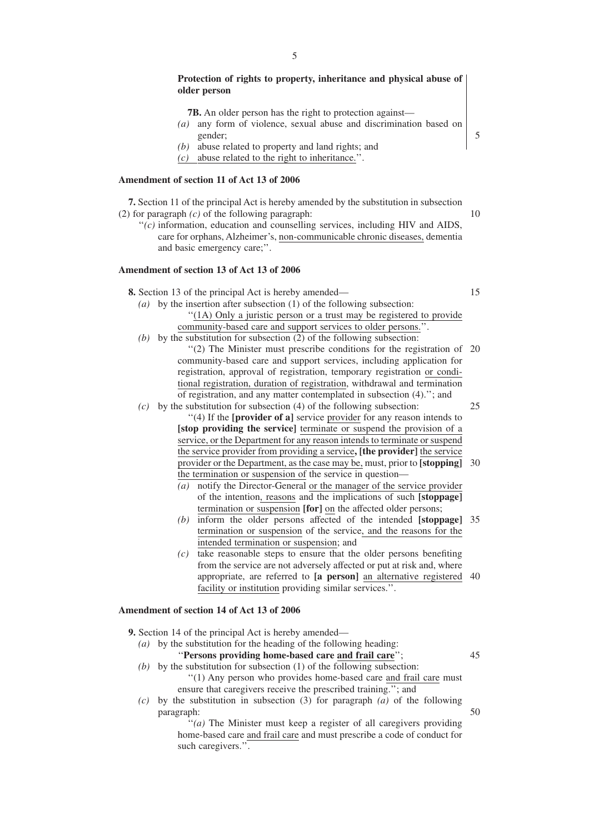## **Protection of rights to property, inheritance and physical abuse of older person**

**7B.** An older person has the right to protection against—

- *(a)* any form of violence, sexual abuse and discrimination based on gender;
- *(b)* abuse related to property and land rights; and
- *(c)* abuse related to the right to inheritance.''.

#### **Amendment of section 11 of Act 13 of 2006**

**7.** Section 11 of the principal Act is hereby amended by the substitution in subsection (2) for paragraph *(c)* of the following paragraph:

''*(c)* information, education and counselling services, including HIV and AIDS, care for orphans, Alzheimer's, non-communicable chronic diseases, dementia and basic emergency care;''.

# **Amendment of section 13 of Act 13 of 2006**

**8.** Section 13 of the principal Act is hereby amended—

15

10

5

- *(a)* by the insertion after subsection (1) of the following subsection: ''(1A) Only a juristic person or a trust may be registered to provide community-based care and support services to older persons.''.
- *(b)* by the substitution for subsection (2) of the following subsection:
- "(2) The Minister must prescribe conditions for the registration of 20 community-based care and support services, including application for registration, approval of registration, temporary registration or conditional registration, duration of registration, withdrawal and termination of registration, and any matter contemplated in subsection (4).''; and *(c)* by the substitution for subsection (4) of the following subsection:
	- 25

''(4) If the **[provider of a]** service provider for any reason intends to **[stop providing the service]** terminate or suspend the provision of a service, or the Department for any reason intends to terminate or suspend the service provider from providing a service**, [the provider]** the service provider or the Department, as the case may be, must, prior to **[stopping]** 30 the termination or suspension of the service in question—

- *(a)* notify the Director-General or the manager of the service provider of the intention, reasons and the implications of such **[stoppage]** termination or suspension **[for]** on the affected older persons;
- *(b)* inform the older persons affected of the intended **[stoppage]** 35 termination or suspension of the service, and the reasons for the intended termination or suspension; and
- *(c)* take reasonable steps to ensure that the older persons benefiting from the service are not adversely affected or put at risk and, where appropriate, are referred to **[a person]** an alternative registered 40 facility or institution providing similar services.''.

### **Amendment of section 14 of Act 13 of 2006**

- **9.** Section 14 of the principal Act is hereby amended—
	- *(a)* by the substitution for the heading of the following heading:

''**Persons providing home-based care and frail care**'';

- 45
- *(b)* by the substitution for subsection (1) of the following subsection: ''(1) Any person who provides home-based care and frail care must ensure that caregivers receive the prescribed training.''; and
- *(c)* by the substitution in subsection (3) for paragraph *(a)* of the following paragraph: 50

''*(a)* The Minister must keep a register of all caregivers providing home-based care and frail care and must prescribe a code of conduct for such caregivers.''.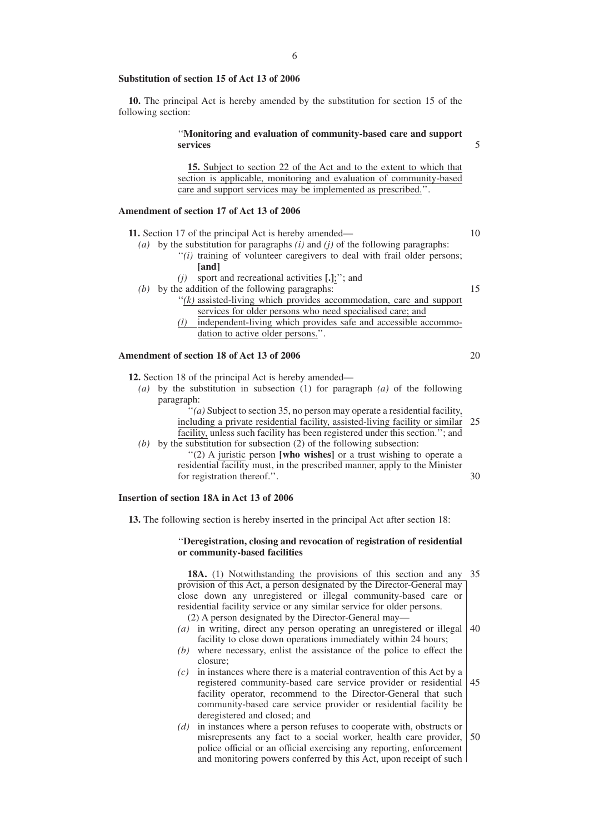**10.** The principal Act is hereby amended by the substitution for section 15 of the following section:

# ''**Monitoring and evaluation of community-based care and support services**

**15.** Subject to section 22 of the Act and to the extent to which that section is applicable, monitoring and evaluation of community-based care and support services may be implemented as prescribed.''.

# **Amendment of section 17 of Act 13 of 2006**

- **11.** Section 17 of the principal Act is hereby amended—
	- *(a)* by the substitution for paragraphs *(i)* and *(j)* of the following paragraphs:
		- "(i) training of volunteer caregivers to deal with frail older persons; **[and]**
			- *(j)* sport and recreational activities **[.]**;''; and
	- *(b)* by the addition of the following paragraphs:
		- ''*(k)* assisted-living which provides accommodation, care and support services for older persons who need specialised care; and
		- *(l)* independent-living which provides safe and accessible accommodation to active older persons.''.

#### **Amendment of section 18 of Act 13 of 2006**

**12.** Section 18 of the principal Act is hereby amended—

*(a)* by the substitution in subsection (1) for paragraph *(a)* of the following paragraph:

> $f'(a)$  Subject to section 35, no person may operate a residential facility, including a private residential facility, assisted-living facility or similar facility, unless such facility has been registered under this section.''; and 25

*(b)* by the substitution for subsection (2) of the following subsection: ''(2) A juristic person **[who wishes]** or a trust wishing to operate a

residential facility must, in the prescribed manner, apply to the Minister for registration thereof.''.

# **Insertion of section 18A in Act 13 of 2006**

**13.** The following section is hereby inserted in the principal Act after section 18:

#### ''**Deregistration, closing and revocation of registration of residential or community-based facilities**

**18A.** (1) Notwithstanding the provisions of this section and any 35 provision of this Act, a person designated by the Director-General may close down any unregistered or illegal community-based care or residential facility service or any similar service for older persons. (2) A person designated by the Director-General may—

- *(a)* in writing, direct any person operating an unregistered or illegal facility to close down operations immediately within 24 hours; 40
- *(b)* where necessary, enlist the assistance of the police to effect the closure;
- *(c)* in instances where there is a material contravention of this Act by a registered community-based care service provider or residential facility operator, recommend to the Director-General that such community-based care service provider or residential facility be deregistered and closed; and 45
- *(d)* in instances where a person refuses to cooperate with, obstructs or misrepresents any fact to a social worker, health care provider, police official or an official exercising any reporting, enforcement and monitoring powers conferred by this Act, upon receipt of such 50

20

30

5

10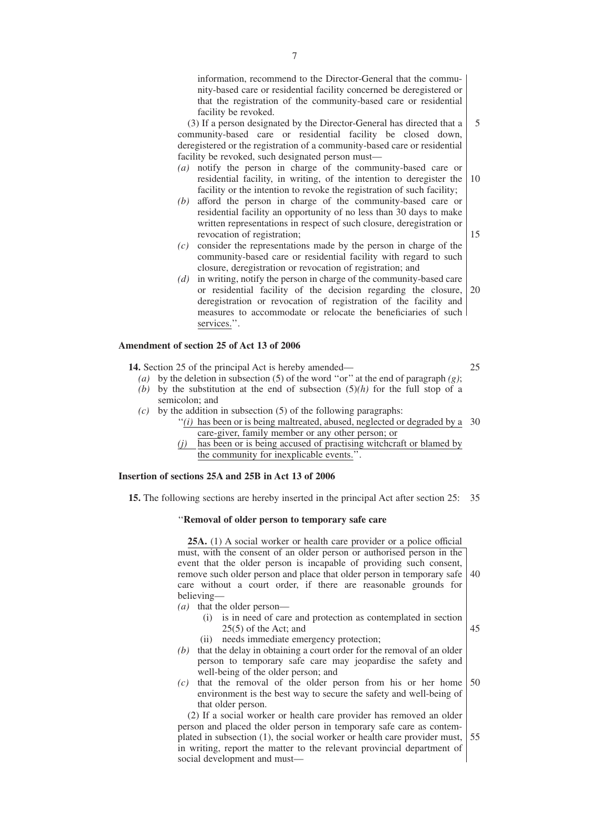information, recommend to the Director-General that the community-based care or residential facility concerned be deregistered or that the registration of the community-based care or residential facility be revoked.

(3) If a person designated by the Director-General has directed that a community-based care or residential facility be closed down, deregistered or the registration of a community-based care or residential facility be revoked, such designated person must— 5

- *(a)* notify the person in charge of the community-based care or residential facility, in writing, of the intention to deregister the facility or the intention to revoke the registration of such facility; 10
- *(b)* afford the person in charge of the community-based care or residential facility an opportunity of no less than 30 days to make written representations in respect of such closure, deregistration or revocation of registration;
- *(c)* consider the representations made by the person in charge of the community-based care or residential facility with regard to such closure, deregistration or revocation of registration; and
- *(d)* in writing, notify the person in charge of the community-based care or residential facility of the decision regarding the closure, deregistration or revocation of registration of the facility and measures to accommodate or relocate the beneficiaries of such services.". 20

# **Amendment of section 25 of Act 13 of 2006**

**14.** Section 25 of the principal Act is hereby amended—

*(a)* by the deletion in subsection (5) of the word ''or'' at the end of paragraph *(g)*;

- *(b)* by the substitution at the end of subsection (5)*(h)* for the full stop of a semicolon; and
- *(c)* by the addition in subsection (5) of the following paragraphs:
	- $''(i)$  has been or is being maltreated, abused, neglected or degraded by a 30 care-giver, family member or any other person; or
	- *(j)* has been or is being accused of practising witchcraft or blamed by the community for inexplicable events.''.

# **Insertion of sections 25A and 25B in Act 13 of 2006**

**15.** The following sections are hereby inserted in the principal Act after section 25: 35

#### ''**Removal of older person to temporary safe care**

**25A.** (1) A social worker or health care provider or a police official must, with the consent of an older person or authorised person in the event that the older person is incapable of providing such consent, remove such older person and place that older person in temporary safe care without a court order, if there are reasonable grounds for believing— 40

- *(a)* that the older person—
	- (i) is in need of care and protection as contemplated in section 25(5) of the Act; and (ii) needs immediate emergency protection;

45

- *(b)* that the delay in obtaining a court order for the removal of an older person to temporary safe care may jeopardise the safety and well-being of the older person; and
- *(c)* that the removal of the older person from his or her home environment is the best way to secure the safety and well-being of that older person. 50

(2) If a social worker or health care provider has removed an older person and placed the older person in temporary safe care as contemplated in subsection (1), the social worker or health care provider must, in writing, report the matter to the relevant provincial department of social development and must— 55

25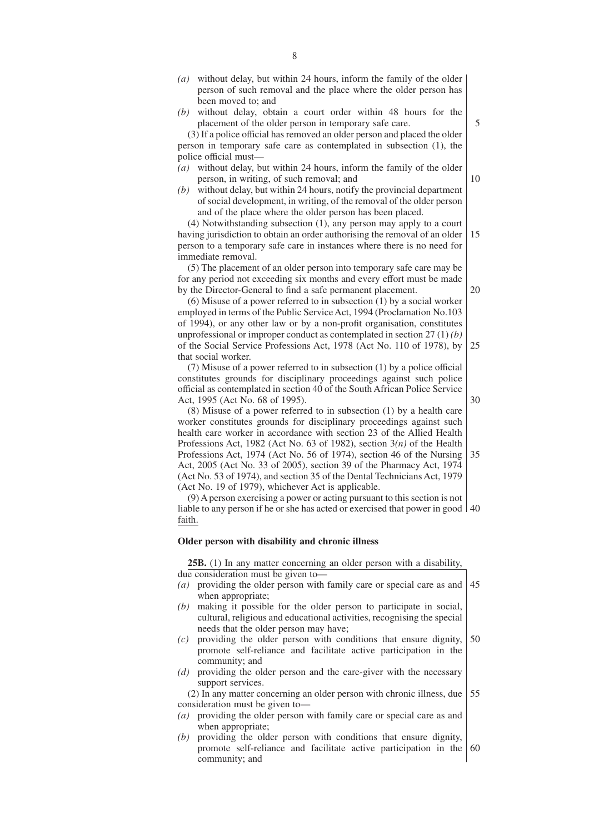- *(a)* without delay, but within 24 hours, inform the family of the older person of such removal and the place where the older person has been moved to; and
- *(b)* without delay, obtain a court order within 48 hours for the placement of the older person in temporary safe care.

(3) If a police official has removed an older person and placed the older person in temporary safe care as contemplated in subsection (1), the police official must—

- *(a)* without delay, but within 24 hours, inform the family of the older person, in writing, of such removal; and
- *(b)* without delay, but within 24 hours, notify the provincial department of social development, in writing, of the removal of the older person and of the place where the older person has been placed.

(4) Notwithstanding subsection (1), any person may apply to a court having jurisdiction to obtain an order authorising the removal of an older 15

person to a temporary safe care in instances where there is no need for immediate removal.

(5) The placement of an older person into temporary safe care may be for any period not exceeding six months and every effort must be made by the Director-General to find a safe permanent placement.

(6) Misuse of a power referred to in subsection (1) by a social worker employed in terms of the Public Service Act, 1994 (Proclamation No.103 of 1994), or any other law or by a non-profit organisation, constitutes unprofessional or improper conduct as contemplated in section 27 (1) *(b)* of the Social Service Professions Act, 1978 (Act No. 110 of 1978), by that social worker. 25

(7) Misuse of a power referred to in subsection (1) by a police official constitutes grounds for disciplinary proceedings against such police official as contemplated in section 40 of the South African Police Service Act, 1995 (Act No. 68 of 1995).

(8) Misuse of a power referred to in subsection (1) by a health care worker constitutes grounds for disciplinary proceedings against such health care worker in accordance with section 23 of the Allied Health Professions Act, 1982 (Act No. 63 of 1982), section 3*(n)* of the Health Professions Act, 1974 (Act No. 56 of 1974), section 46 of the Nursing Act, 2005 (Act No. 33 of 2005), section 39 of the Pharmacy Act, 1974 (Act No. 53 of 1974), and section 35 of the Dental Technicians Act, 1979 (Act No. 19 of 1979), whichever Act is applicable. 35

(9) A person exercising a power or acting pursuant to this section is not liable to any person if he or she has acted or exercised that power in good 40 faith.

#### **Older person with disability and chronic illness**

**25B.** (1) In any matter concerning an older person with a disability, due consideration must be given to—

- *(a)* providing the older person with family care or special care as and when appropriate; 45
- *(b)* making it possible for the older person to participate in social, cultural, religious and educational activities, recognising the special needs that the older person may have;
- *(c)* providing the older person with conditions that ensure dignity, promote self-reliance and facilitate active participation in the community; and 50
- *(d)* providing the older person and the care-giver with the necessary support services.

(2) In any matter concerning an older person with chronic illness, due consideration must be given to— 55

- *(a)* providing the older person with family care or special care as and when appropriate;
- *(b)* providing the older person with conditions that ensure dignity, promote self-reliance and facilitate active participation in the community; and 60

10

5

30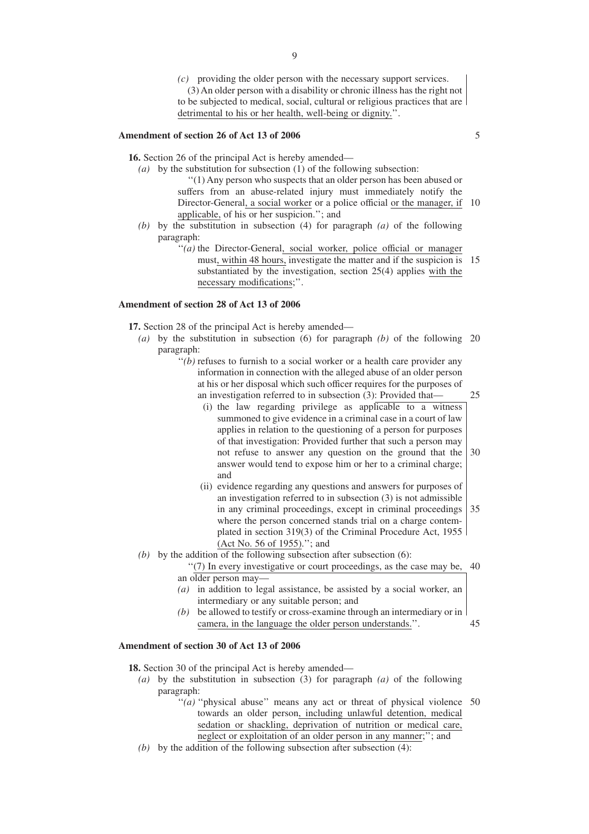*(c)* providing the older person with the necessary support services. (3) An older person with a disability or chronic illness has the right not to be subjected to medical, social, cultural or religious practices that are detrimental to his or her health, well-being or dignity.''.

## **Amendment of section 26 of Act 13 of 2006**

**16.** Section 26 of the principal Act is hereby amended—

- *(a)* by the substitution for subsection (1) of the following subsection: ''(1) Any person who suspects that an older person has been abused or suffers from an abuse-related injury must immediately notify the Director-General, a social worker or a police official or the manager, if 10 applicable, of his or her suspicion.''; and
- *(b)* by the substitution in subsection (4) for paragraph *(a)* of the following paragraph:
	- "(*a*) the Director-General, social worker, police official or manager must, within 48 hours, investigate the matter and if the suspicion is 15 substantiated by the investigation, section 25(4) applies with the necessary modifications;''.

#### **Amendment of section 28 of Act 13 of 2006**

**17.** Section 28 of the principal Act is hereby amended—

- *(a)* by the substitution in subsection (6) for paragraph *(b)* of the following 20 paragraph:
	- $''(b)$  refuses to furnish to a social worker or a health care provider any information in connection with the alleged abuse of an older person at his or her disposal which such officer requires for the purposes of an investigation referred to in subsection (3): Provided that—
		- (i) the law regarding privilege as applicable to a witness summoned to give evidence in a criminal case in a court of law applies in relation to the questioning of a person for purposes of that investigation: Provided further that such a person may not refuse to answer any question on the ground that the answer would tend to expose him or her to a criminal charge; and 30
		- (ii) evidence regarding any questions and answers for purposes of an investigation referred to in subsection (3) is not admissible in any criminal proceedings, except in criminal proceedings where the person concerned stands trial on a charge contemplated in section 319(3) of the Criminal Procedure Act, 1955 (Act No. 56 of 1955).''; and 35
- *(b)* by the addition of the following subsection after subsection (6):
	- ''(7) In every investigative or court proceedings, as the case may be, 40 an older person may—
		- *(a)* in addition to legal assistance, be assisted by a social worker, an intermediary or any suitable person; and
		- *(b)* be allowed to testify or cross-examine through an intermediary or in camera, in the language the older person understands.''. 45

# **Amendment of section 30 of Act 13 of 2006**

**18.** Section 30 of the principal Act is hereby amended—

- *(a)* by the substitution in subsection (3) for paragraph *(a)* of the following paragraph:
	- "(a) "physical abuse" means any act or threat of physical violence 50 towards an older person, including unlawful detention, medical sedation or shackling, deprivation of nutrition or medical care, neglect or exploitation of an older person in any manner;''; and
- *(b)* by the addition of the following subsection after subsection (4):

5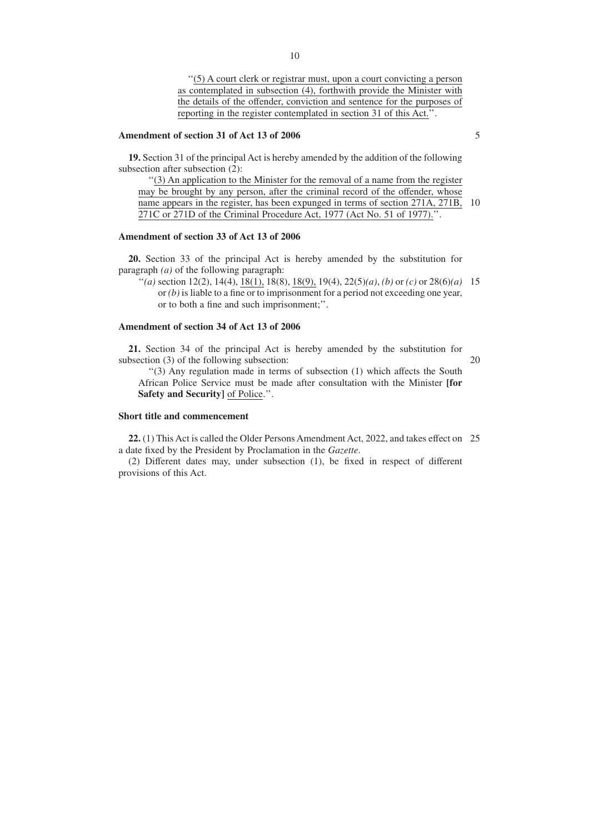''(5) A court clerk or registrar must, upon a court convicting a person as contemplated in subsection (4), forthwith provide the Minister with the details of the offender, conviction and sentence for the purposes of reporting in the register contemplated in section 31 of this Act.''.

## **Amendment of section 31 of Act 13 of 2006**

**19.** Section 31 of the principal Act is hereby amended by the addition of the following subsection after subsection (2):

''(3) An application to the Minister for the removal of a name from the register may be brought by any person, after the criminal record of the offender, whose name appears in the register, has been expunged in terms of section 271A, 271B, 10 271C or 271D of the Criminal Procedure Act, 1977 (Act No. 51 of 1977).''.

# **Amendment of section 33 of Act 13 of 2006**

**20.** Section 33 of the principal Act is hereby amended by the substitution for paragraph *(a)* of the following paragraph:

"*(a)* section 12(2), 14(4), <u>18(1),</u> 18(8), <u>18(9)</u>, 19(4), 22(5)*(a)*, *(b)* or *(c)* or 28(6)*(a)* 15 or *(b)* is liable to a fine or to imprisonment for a period not exceeding one year, or to both a fine and such imprisonment;''.

# **Amendment of section 34 of Act 13 of 2006**

**21.** Section 34 of the principal Act is hereby amended by the substitution for subsection (3) of the following subsection:

20

''(3) Any regulation made in terms of subsection (1) which affects the South African Police Service must be made after consultation with the Minister **[for Safety and Security]** of Police.''.

# **Short title and commencement**

**22.** (1) This Act is called the Older Persons Amendment Act, 2022, and takes effect on 25a date fixed by the President by Proclamation in the *Gazette*.

(2) Different dates may, under subsection (1), be fixed in respect of different provisions of this Act.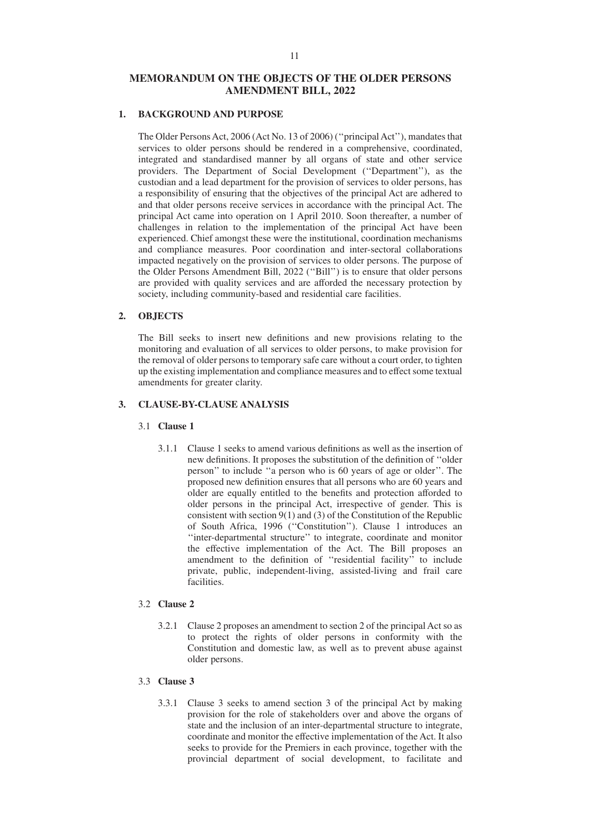# **MEMORANDUM ON THE OBJECTS OF THE OLDER PERSONS AMENDMENT BILL, 2022**

# **1. BACKGROUND AND PURPOSE**

The Older Persons Act, 2006 (Act No. 13 of 2006) (''principal Act''), mandates that services to older persons should be rendered in a comprehensive, coordinated, integrated and standardised manner by all organs of state and other service providers. The Department of Social Development (''Department''), as the custodian and a lead department for the provision of services to older persons, has a responsibility of ensuring that the objectives of the principal Act are adhered to and that older persons receive services in accordance with the principal Act. The principal Act came into operation on 1 April 2010. Soon thereafter, a number of challenges in relation to the implementation of the principal Act have been experienced. Chief amongst these were the institutional, coordination mechanisms and compliance measures. Poor coordination and inter-sectoral collaborations impacted negatively on the provision of services to older persons. The purpose of the Older Persons Amendment Bill, 2022 (''Bill'') is to ensure that older persons are provided with quality services and are afforded the necessary protection by society, including community-based and residential care facilities.

#### **2. OBJECTS**

The Bill seeks to insert new definitions and new provisions relating to the monitoring and evaluation of all services to older persons, to make provision for the removal of older persons to temporary safe care without a court order, to tighten up the existing implementation and compliance measures and to effect some textual amendments for greater clarity.

# **3. CLAUSE-BY-CLAUSE ANALYSIS**

# 3.1 **Clause 1**

3.1.1 Clause 1 seeks to amend various definitions as well as the insertion of new definitions. It proposes the substitution of the definition of ''older person'' to include ''a person who is 60 years of age or older''. The proposed new definition ensures that all persons who are 60 years and older are equally entitled to the benefits and protection afforded to older persons in the principal Act, irrespective of gender. This is consistent with section  $9(1)$  and (3) of the Constitution of the Republic of South Africa, 1996 (''Constitution''). Clause 1 introduces an ''inter-departmental structure'' to integrate, coordinate and monitor the effective implementation of the Act. The Bill proposes an amendment to the definition of ''residential facility'' to include private, public, independent-living, assisted-living and frail care facilities.

## 3.2 **Clause 2**

3.2.1 Clause 2 proposes an amendment to section 2 of the principal Act so as to protect the rights of older persons in conformity with the Constitution and domestic law, as well as to prevent abuse against older persons.

# 3.3 **Clause 3**

3.3.1 Clause 3 seeks to amend section 3 of the principal Act by making provision for the role of stakeholders over and above the organs of state and the inclusion of an inter-departmental structure to integrate, coordinate and monitor the effective implementation of the Act. It also seeks to provide for the Premiers in each province, together with the provincial department of social development, to facilitate and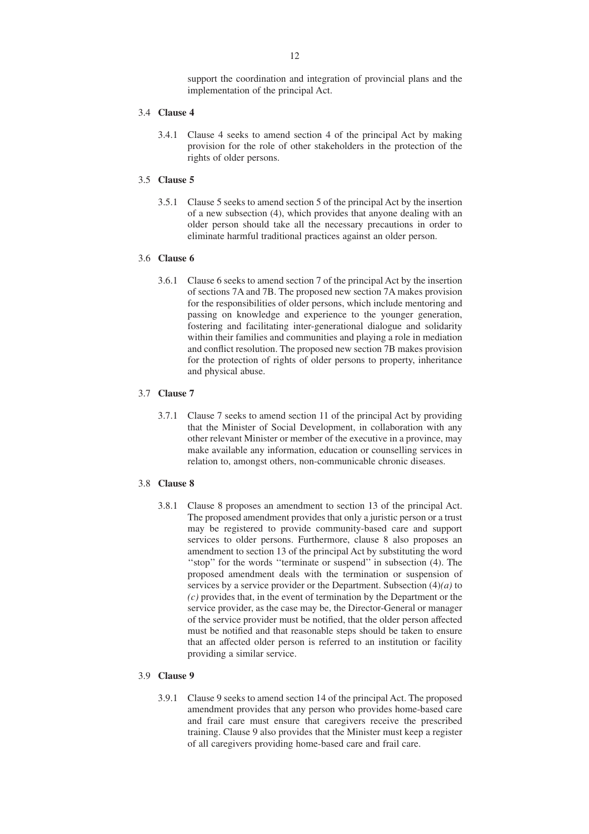support the coordination and integration of provincial plans and the implementation of the principal Act.

# 3.4 **Clause 4**

3.4.1 Clause 4 seeks to amend section 4 of the principal Act by making provision for the role of other stakeholders in the protection of the rights of older persons.

# 3.5 **Clause 5**

3.5.1 Clause 5 seeks to amend section 5 of the principal Act by the insertion of a new subsection (4), which provides that anyone dealing with an older person should take all the necessary precautions in order to eliminate harmful traditional practices against an older person.

#### 3.6 **Clause 6**

3.6.1 Clause 6 seeks to amend section 7 of the principal Act by the insertion of sections 7A and 7B. The proposed new section 7A makes provision for the responsibilities of older persons, which include mentoring and passing on knowledge and experience to the younger generation, fostering and facilitating inter-generational dialogue and solidarity within their families and communities and playing a role in mediation and conflict resolution. The proposed new section 7B makes provision for the protection of rights of older persons to property, inheritance and physical abuse.

#### 3.7 **Clause 7**

3.7.1 Clause 7 seeks to amend section 11 of the principal Act by providing that the Minister of Social Development, in collaboration with any other relevant Minister or member of the executive in a province, may make available any information, education or counselling services in relation to, amongst others, non-communicable chronic diseases.

# 3.8 **Clause 8**

3.8.1 Clause 8 proposes an amendment to section 13 of the principal Act. The proposed amendment provides that only a juristic person or a trust may be registered to provide community-based care and support services to older persons. Furthermore, clause 8 also proposes an amendment to section 13 of the principal Act by substituting the word "stop" for the words "terminate or suspend" in subsection (4). The proposed amendment deals with the termination or suspension of services by a service provider or the Department. Subsection (4)*(a)* to *(c)* provides that, in the event of termination by the Department or the service provider, as the case may be, the Director-General or manager of the service provider must be notified, that the older person affected must be notified and that reasonable steps should be taken to ensure that an affected older person is referred to an institution or facility providing a similar service.

#### 3.9 **Clause 9**

3.9.1 Clause 9 seeks to amend section 14 of the principal Act. The proposed amendment provides that any person who provides home-based care and frail care must ensure that caregivers receive the prescribed training. Clause 9 also provides that the Minister must keep a register of all caregivers providing home-based care and frail care.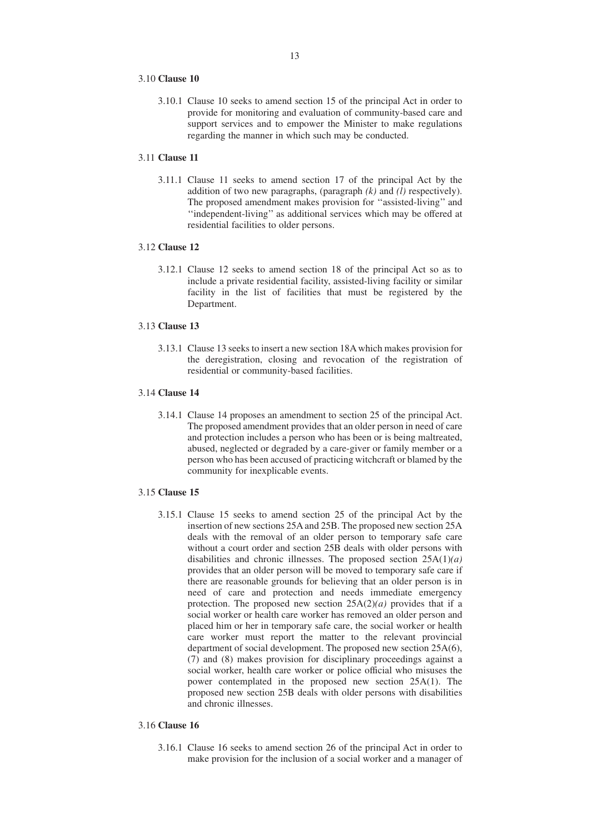## 3.10 **Clause 10**

3.10.1 Clause 10 seeks to amend section 15 of the principal Act in order to provide for monitoring and evaluation of community-based care and support services and to empower the Minister to make regulations regarding the manner in which such may be conducted.

# 3.11 **Clause 11**

3.11.1 Clause 11 seeks to amend section 17 of the principal Act by the addition of two new paragraphs, (paragraph  $(k)$  and  $(l)$  respectively). The proposed amendment makes provision for ''assisted-living'' and ''independent-living'' as additional services which may be offered at residential facilities to older persons.

# 3.12 **Clause 12**

3.12.1 Clause 12 seeks to amend section 18 of the principal Act so as to include a private residential facility, assisted-living facility or similar facility in the list of facilities that must be registered by the Department.

#### 3.13 **Clause 13**

3.13.1 Clause 13 seeks to insert a new section 18A which makes provision for the deregistration, closing and revocation of the registration of residential or community-based facilities.

#### 3.14 **Clause 14**

3.14.1 Clause 14 proposes an amendment to section 25 of the principal Act. The proposed amendment provides that an older person in need of care and protection includes a person who has been or is being maltreated, abused, neglected or degraded by a care-giver or family member or a person who has been accused of practicing witchcraft or blamed by the community for inexplicable events.

# 3.15 **Clause 15**

3.15.1 Clause 15 seeks to amend section 25 of the principal Act by the insertion of new sections 25A and 25B. The proposed new section 25A deals with the removal of an older person to temporary safe care without a court order and section 25B deals with older persons with disabilities and chronic illnesses. The proposed section 25A(1)*(a)* provides that an older person will be moved to temporary safe care if there are reasonable grounds for believing that an older person is in need of care and protection and needs immediate emergency protection. The proposed new section 25A(2)*(a)* provides that if a social worker or health care worker has removed an older person and placed him or her in temporary safe care, the social worker or health care worker must report the matter to the relevant provincial department of social development. The proposed new section 25A(6), (7) and (8) makes provision for disciplinary proceedings against a social worker, health care worker or police official who misuses the power contemplated in the proposed new section 25A(1). The proposed new section 25B deals with older persons with disabilities and chronic illnesses.

## 3.16 **Clause 16**

3.16.1 Clause 16 seeks to amend section 26 of the principal Act in order to make provision for the inclusion of a social worker and a manager of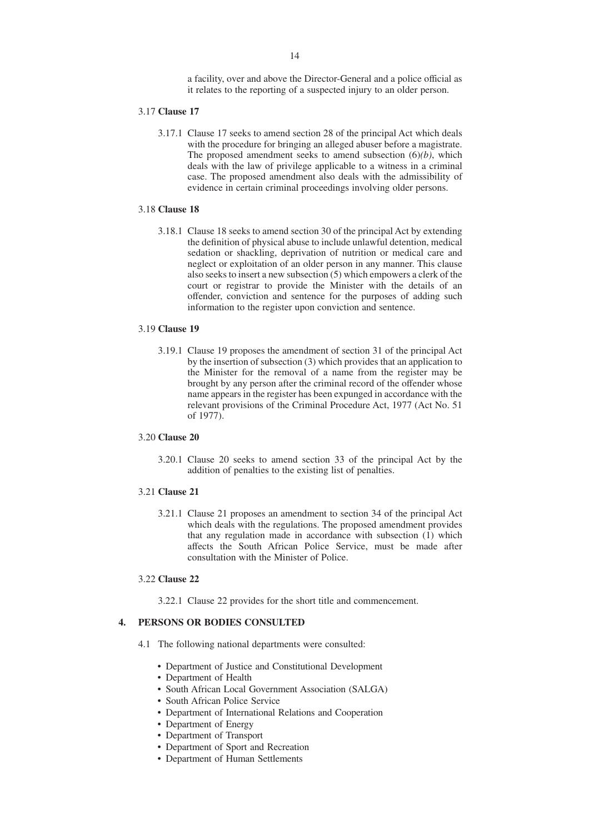a facility, over and above the Director-General and a police official as it relates to the reporting of a suspected injury to an older person.

#### 3.17 **Clause 17**

3.17.1 Clause 17 seeks to amend section 28 of the principal Act which deals with the procedure for bringing an alleged abuser before a magistrate. The proposed amendment seeks to amend subsection (6)*(b)*, which deals with the law of privilege applicable to a witness in a criminal case. The proposed amendment also deals with the admissibility of evidence in certain criminal proceedings involving older persons.

#### 3.18 **Clause 18**

3.18.1 Clause 18 seeks to amend section 30 of the principal Act by extending the definition of physical abuse to include unlawful detention, medical sedation or shackling, deprivation of nutrition or medical care and neglect or exploitation of an older person in any manner. This clause also seeks to insert a new subsection (5) which empowers a clerk of the court or registrar to provide the Minister with the details of an offender, conviction and sentence for the purposes of adding such information to the register upon conviction and sentence.

#### 3.19 **Clause 19**

3.19.1 Clause 19 proposes the amendment of section 31 of the principal Act by the insertion of subsection (3) which provides that an application to the Minister for the removal of a name from the register may be brought by any person after the criminal record of the offender whose name appears in the register has been expunged in accordance with the relevant provisions of the Criminal Procedure Act, 1977 (Act No. 51 of 1977).

# 3.20 **Clause 20**

3.20.1 Clause 20 seeks to amend section 33 of the principal Act by the addition of penalties to the existing list of penalties.

#### 3.21 **Clause 21**

3.21.1 Clause 21 proposes an amendment to section 34 of the principal Act which deals with the regulations. The proposed amendment provides that any regulation made in accordance with subsection  $(1)$  which affects the South African Police Service, must be made after consultation with the Minister of Police.

#### 3.22 **Clause 22**

3.22.1 Clause 22 provides for the short title and commencement.

# **4. PERSONS OR BODIES CONSULTED**

- 4.1 The following national departments were consulted:
	- Department of Justice and Constitutional Development
	- Department of Health
	- South African Local Government Association (SALGA)
	- South African Police Service
	- Department of International Relations and Cooperation
	- Department of Energy
	- Department of Transport
	- Department of Sport and Recreation
	- Department of Human Settlements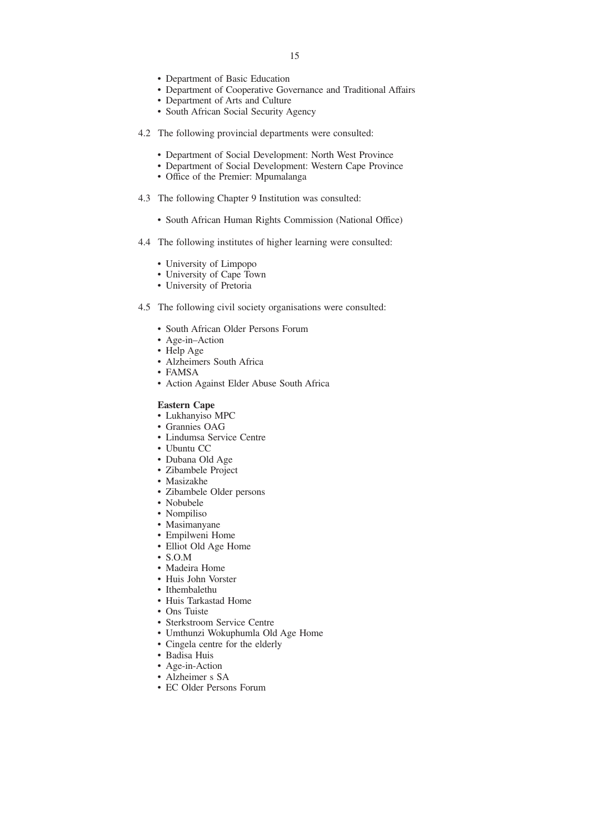- Department of Basic Education
- Department of Cooperative Governance and Traditional Affairs
- Department of Arts and Culture
- South African Social Security Agency
- 4.2 The following provincial departments were consulted:
	- Department of Social Development: North West Province
	- Department of Social Development: Western Cape Province
	- Office of the Premier: Mpumalanga
- 4.3 The following Chapter 9 Institution was consulted:
	- South African Human Rights Commission (National Office)
- 4.4 The following institutes of higher learning were consulted:
	- University of Limpopo
	- University of Cape Town
	- University of Pretoria
- 4.5 The following civil society organisations were consulted:
	- South African Older Persons Forum
	- Age-in–Action
	- Help Age
	- Alzheimers South Africa
	- FAMSA
	- Action Against Elder Abuse South Africa

# **Eastern Cape**

- Lukhanyiso MPC
- Grannies OAG
- Lindumsa Service Centre
- Ubuntu CC
- Dubana Old Age
- Zibambele Project
- Masizakhe
- Zibambele Older persons
- Nobubele
- Nompiliso
- Masimanyane
- Empilweni Home
- Elliot Old Age Home
- S.O.M
- Madeira Home
- Huis John Vorster
- Ithembalethu
- Huis Tarkastad Home
- Ons Tuiste
- Sterkstroom Service Centre
- Umthunzi Wokuphumla Old Age Home
- Cingela centre for the elderly
- Badisa Huis
- Age-in-Action
- Alzheimer s SA
- EC Older Persons Forum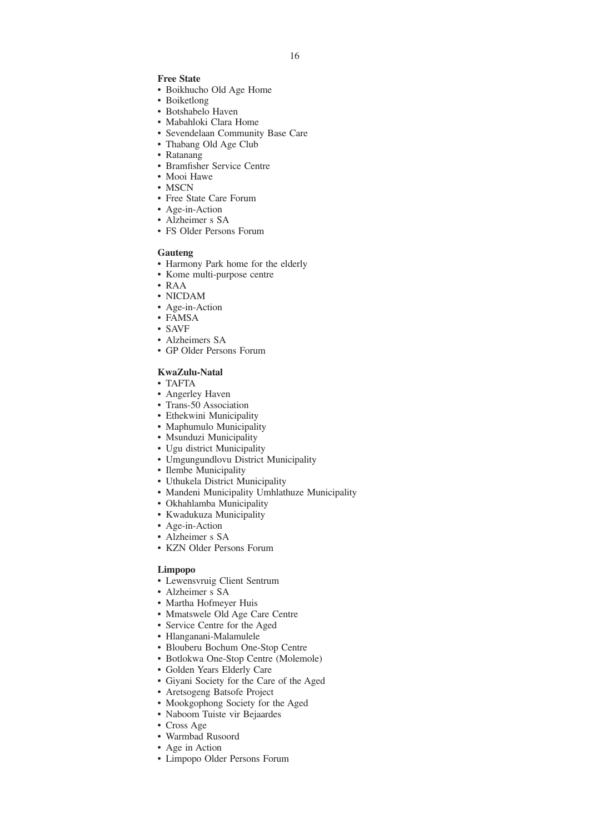#### **Free State**

- Boikhucho Old Age Home
- Boiketlong
- Botshabelo Haven
- Mabahloki Clara Home
- Sevendelaan Community Base Care
- Thabang Old Age Club
- Ratanang
- Bramfisher Service Centre
- Mooi Hawe
- MSCN
- Free State Care Forum
- Age-in-Action
- Alzheimer s SA
- FS Older Persons Forum

#### **Gauteng**

- Harmony Park home for the elderly
- Kome multi-purpose centre
- RAA
- NICDAM
- Age-in-Action
- FAMSA
- SAVF
- Alzheimers SA
- GP Older Persons Forum

# **KwaZulu-Natal**

- TAFTA
- Angerley Haven
- Trans-50 Association
- Ethekwini Municipality
- Maphumulo Municipality
- Msunduzi Municipality
- Ugu district Municipality
- Umgungundlovu District Municipality
- Ilembe Municipality
- Uthukela District Municipality
- Mandeni Municipality Umhlathuze Municipality
- Okhahlamba Municipality
- Kwadukuza Municipality
- Age-in-Action
- Alzheimer s SA
- KZN Older Persons Forum

#### **Limpopo**

- Lewensvruig Client Sentrum
- Alzheimer s SA
- Martha Hofmeyer Huis
- Mmatswele Old Age Care Centre
- Service Centre for the Aged
- Hlanganani-Malamulele
- Blouberu Bochum One-Stop Centre
- Botlokwa One-Stop Centre (Molemole)
- Golden Years Elderly Care
- Giyani Society for the Care of the Aged
- Aretsogeng Batsofe Project
- Mookgophong Society for the Aged
- Naboom Tuiste vir Bejaardes
- Cross Age
- Warmbad Rusoord
- Age in Action
- Limpopo Older Persons Forum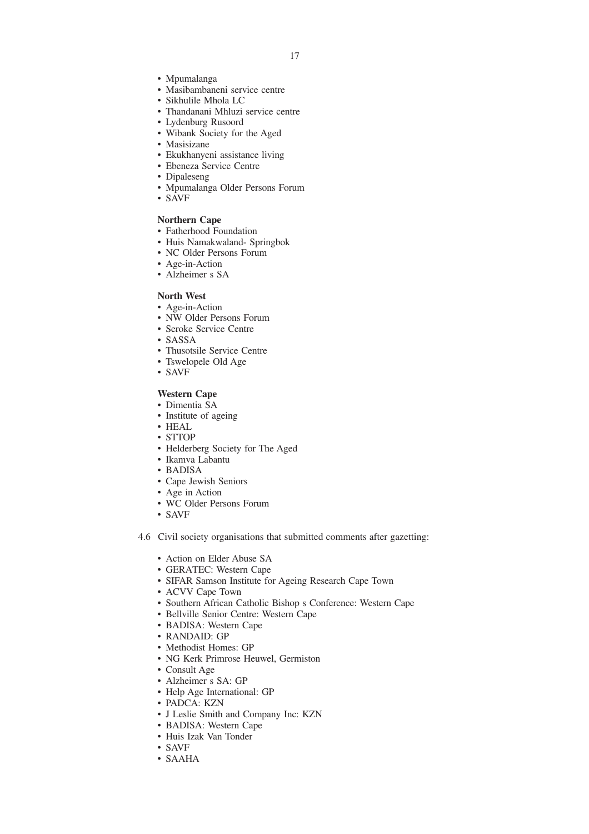- Mpumalanga
- Masibambaneni service centre
- Sikhulile Mhola LC
- Thandanani Mhluzi service centre
- Lydenburg Rusoord
- Wibank Society for the Aged
- Masisizane
- Ekukhanyeni assistance living
- Ebeneza Service Centre
- Dipaleseng
- Mpumalanga Older Persons Forum
- SAVF

#### **Northern Cape**

- Fatherhood Foundation
- Huis Namakwaland- Springbok
- NC Older Persons Forum
- Age-in-Action
- Alzheimer s SA

## **North West**

- Age-in-Action
- NW Older Persons Forum
- Seroke Service Centre
- SASSA
- Thusotsile Service Centre
- Tswelopele Old Age
- SAVF

# **Western Cape**

- Dimentia SA
- Institute of ageing
- HEAL
- STTOP • Helderberg Society for The Aged
- Ikamva Labantu
- BADISA
- Cape Jewish Seniors
- Age in Action
- WC Older Persons Forum
- SAVF
- 4.6 Civil society organisations that submitted comments after gazetting:
	- Action on Elder Abuse SA
	- GERATEC: Western Cape
	- SIFAR Samson Institute for Ageing Research Cape Town
	- ACVV Cape Town
	- Southern African Catholic Bishop s Conference: Western Cape
	- Bellville Senior Centre: Western Cape
	- BADISA: Western Cape
	- RANDAID: GP
	- Methodist Homes: GP
	- NG Kerk Primrose Heuwel, Germiston
	- Consult Age
	- Alzheimer s SA: GP
	- Help Age International: GP
	- PADCA: KZN
	- J Leslie Smith and Company Inc: KZN
	- BADISA: Western Cape
	- Huis Izak Van Tonder
	- SAVF
	- SAAHA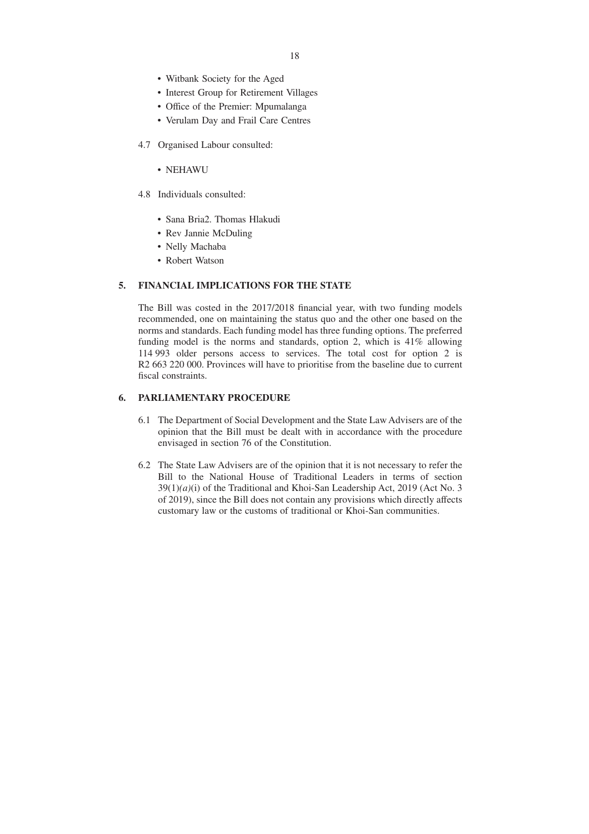- Witbank Society for the Aged
- Interest Group for Retirement Villages
- Office of the Premier: Mpumalanga
- Verulam Day and Frail Care Centres
- 4.7 Organised Labour consulted:
	- NEHAWU
- 4.8 Individuals consulted:
	- Sana Bria2. Thomas Hlakudi
	- Rev Jannie McDuling
	- Nelly Machaba
	- Robert Watson

# **5. FINANCIAL IMPLICATIONS FOR THE STATE**

The Bill was costed in the 2017/2018 financial year, with two funding models recommended, one on maintaining the status quo and the other one based on the norms and standards. Each funding model has three funding options. The preferred funding model is the norms and standards, option 2, which is 41% allowing 114 993 older persons access to services. The total cost for option 2 is R<sub>2</sub> 663 220 000. Provinces will have to prioritise from the baseline due to current fiscal constraints.

# **6. PARLIAMENTARY PROCEDURE**

- 6.1 The Department of Social Development and the State Law Advisers are of the opinion that the Bill must be dealt with in accordance with the procedure envisaged in section 76 of the Constitution.
- 6.2 The State Law Advisers are of the opinion that it is not necessary to refer the Bill to the National House of Traditional Leaders in terms of section 39(1)*(a)*(i) of the Traditional and Khoi-San Leadership Act, 2019 (Act No. 3 of 2019), since the Bill does not contain any provisions which directly affects customary law or the customs of traditional or Khoi-San communities.